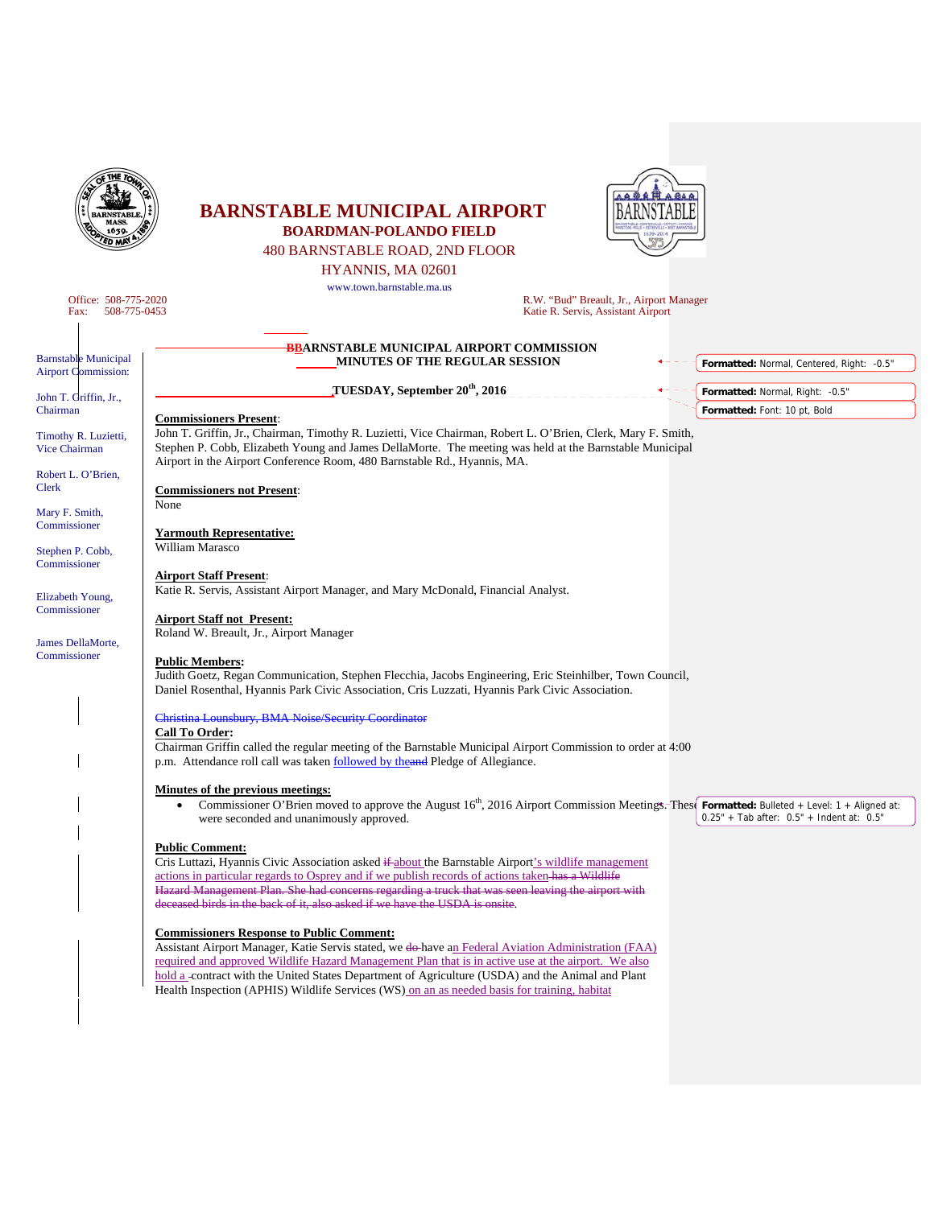| 1639                                                        | <b>BARNSTABLE MUNICIPAL AIRPORT</b><br><b>BOARDMAN-POLANDO FIELD</b>                                                                                                                                                                                                                                                                                                                                                                                                |                                                                                |
|-------------------------------------------------------------|---------------------------------------------------------------------------------------------------------------------------------------------------------------------------------------------------------------------------------------------------------------------------------------------------------------------------------------------------------------------------------------------------------------------------------------------------------------------|--------------------------------------------------------------------------------|
|                                                             | 480 BARNSTABLE ROAD, 2ND FLOOR                                                                                                                                                                                                                                                                                                                                                                                                                                      |                                                                                |
|                                                             | HYANNIS, MA 02601<br>www.town.barnstable.ma.us                                                                                                                                                                                                                                                                                                                                                                                                                      |                                                                                |
| Office: 508-775-2020<br>Fax:<br>508-775-0453                |                                                                                                                                                                                                                                                                                                                                                                                                                                                                     | R.W. "Bud" Breault, Jr., Airport Manager<br>Katie R. Servis, Assistant Airport |
| <b>Barnstable Municipal</b><br><b>Airport Commission:</b>   | <b>BBARNSTABLE MUNICIPAL AIRPORT COMMISSION</b><br><b>MINUTES OF THE REGULAR SESSION</b>                                                                                                                                                                                                                                                                                                                                                                            | Formatted: Normal, Centered, Right: -0.5"                                      |
| John T. Griffin, Jr.,                                       | TUESDAY, September 20 <sup>th</sup> , 2016                                                                                                                                                                                                                                                                                                                                                                                                                          | Formatted: Normal, Right: -0.5"                                                |
| Chairman                                                    | <b>Commissioners Present:</b>                                                                                                                                                                                                                                                                                                                                                                                                                                       | Formatted: Font: 10 pt, Bold                                                   |
| Timothy R. Luzietti,<br>Vice Chairman<br>Robert L. O'Brien, | John T. Griffin, Jr., Chairman, Timothy R. Luzietti, Vice Chairman, Robert L. O'Brien, Clerk, Mary F. Smith,<br>Stephen P. Cobb, Elizabeth Young and James DellaMorte. The meeting was held at the Barnstable Municipal<br>Airport in the Airport Conference Room, 480 Barnstable Rd., Hyannis, MA.                                                                                                                                                                 |                                                                                |
| None<br>Mary F. Smith,                                      | <b>Commissioners not Present:</b>                                                                                                                                                                                                                                                                                                                                                                                                                                   |                                                                                |
| Commissioner<br>Stephen P. Cobb,<br>Commissioner            | <b>Yarmouth Representative:</b><br>William Marasco                                                                                                                                                                                                                                                                                                                                                                                                                  |                                                                                |
| Elizabeth Young,<br>Commissioner                            | <b>Airport Staff Present:</b><br>Katie R. Servis, Assistant Airport Manager, and Mary McDonald, Financial Analyst.                                                                                                                                                                                                                                                                                                                                                  |                                                                                |
| James DellaMorte,                                           | <b>Airport Staff not Present:</b><br>Roland W. Breault, Jr., Airport Manager                                                                                                                                                                                                                                                                                                                                                                                        |                                                                                |
| Commissioner                                                | <b>Public Members:</b><br>Judith Goetz, Regan Communication, Stephen Flecchia, Jacobs Engineering, Eric Steinhilber, Town Council,<br>Daniel Rosenthal, Hyannis Park Civic Association, Cris Luzzati, Hyannis Park Civic Association.                                                                                                                                                                                                                               |                                                                                |
|                                                             | Christina Lounsbury, BMA Noise/Security Coordinator                                                                                                                                                                                                                                                                                                                                                                                                                 |                                                                                |
|                                                             | <b>Call To Order:</b><br>Chairman Griffin called the regular meeting of the Barnstable Municipal Airport Commission to order at 4:00<br>p.m. Attendance roll call was taken followed by the and Pledge of Allegiance.                                                                                                                                                                                                                                               |                                                                                |
|                                                             | <b>Minutes of the previous meetings:</b><br>Commissioner O'Brien moved to approve the August 16 <sup>th</sup> , 2016 Airport Commission Meetings. These Formatted: Bulleted + Level: 1 + Aligned at:<br>were seconded and unanimously approved.                                                                                                                                                                                                                     | $0.25" + Tab after: 0.5" + Indent at: 0.5"$                                    |
|                                                             | <b>Public Comment:</b><br>Cris Luttazi, Hyannis Civic Association asked if about the Barnstable Airport's wildlife management<br>actions in particular regards to Osprey and if we publish records of actions taken-has a Wildlife<br>Hazard Management Plan. She had concerns regarding a truck that was seen leaving the airport with<br>deceased birds in the back of it, also asked if we have the USDA is onsite.                                              |                                                                                |
|                                                             | <b>Commissioners Response to Public Comment:</b><br>Assistant Airport Manager, Katie Servis stated, we do have an Federal Aviation Administration (FAA)<br>required and approved Wildlife Hazard Management Plan that is in active use at the airport. We also<br>hold a -contract with the United States Department of Agriculture (USDA) and the Animal and Plant<br>Health Inspection (APHIS) Wildlife Services (WS) on an as needed basis for training, habitat |                                                                                |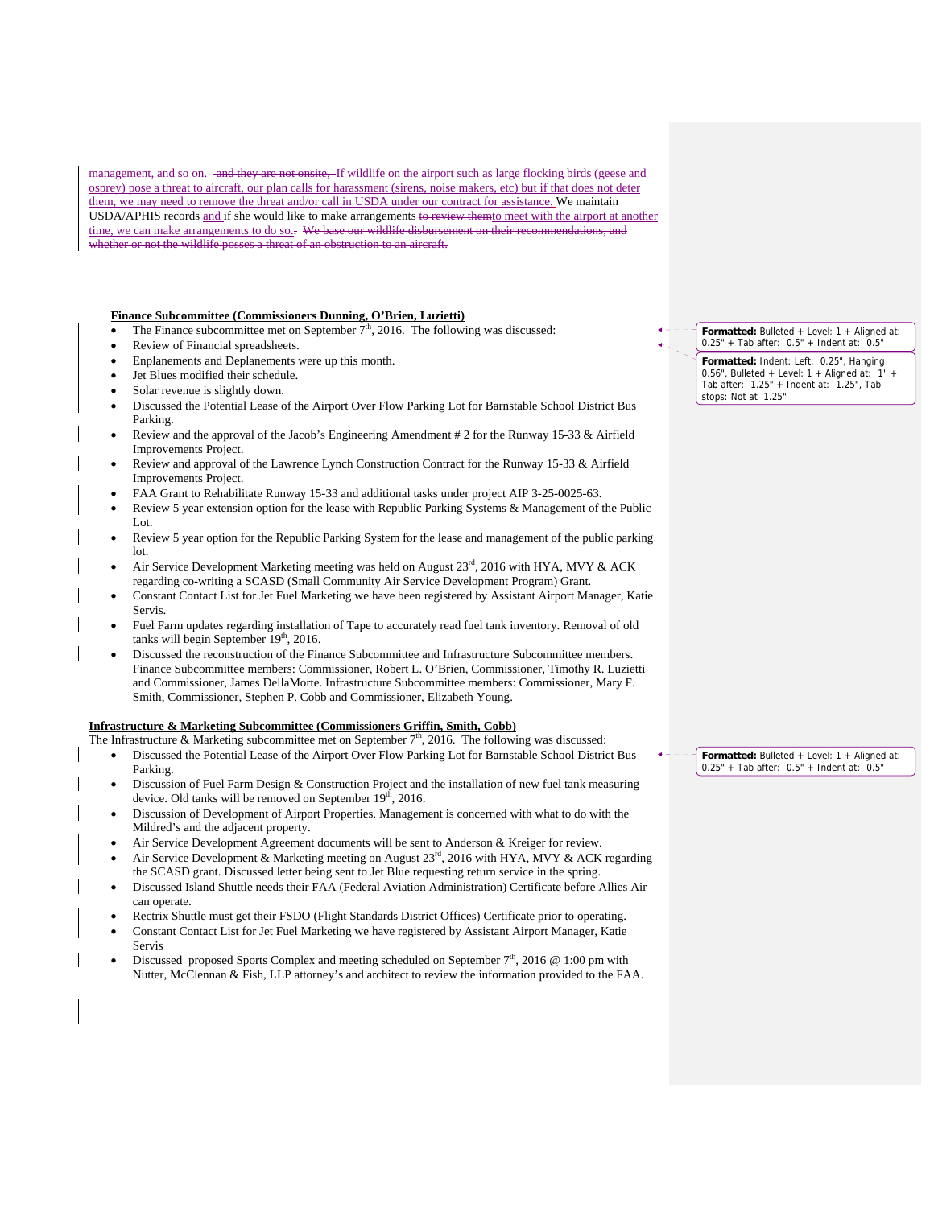management, and so on. and they are not onsite. If wildlife on the airport such as large flocking birds (geese and osprey) pose a threat to aircraft, our plan calls for harassment (sirens, noise makers, etc) but if that does not deter them, we may need to remove the threat and/or call in USDA under our contract for assistance. We maintain USDA/APHIS records and if she would like to make arrangements to review themto meet with the airport at another time, we can make arrangements to do so.. We base our wildlife disbursement on their pether or not the wildlife posses a threat of an obstruct

## **Finance Subcommittee (Commissioners Dunning, O'Brien, Luzietti)**

- The Finance subcommittee met on September  $7<sup>th</sup>$ , 2016. The following was discussed:
- Review of Financial spreadsheets.
- Enplanements and Deplanements were up this month.
- Jet Blues modified their schedule.
- Solar revenue is slightly down.
- Discussed the Potential Lease of the Airport Over Flow Parking Lot for Barnstable School District Bus Parking.
- Review and the approval of the Jacob's Engineering Amendment # 2 for the Runway 15-33 & Airfield Improvements Project.
- Review and approval of the Lawrence Lynch Construction Contract for the Runway 15-33 & Airfield Improvements Project.
- FAA Grant to Rehabilitate Runway 15-33 and additional tasks under project AIP 3-25-0025-63.
- Review 5 year extension option for the lease with Republic Parking Systems & Management of the Public Lot.
- Review 5 year option for the Republic Parking System for the lease and management of the public parking lot.
- Air Service Development Marketing meeting was held on August  $23<sup>rd</sup>$ , 2016 with HYA, MVY & ACK regarding co-writing a SCASD (Small Community Air Service Development Program) Grant.
- Constant Contact List for Jet Fuel Marketing we have been registered by Assistant Airport Manager, Katie Servis.
- Fuel Farm updates regarding installation of Tape to accurately read fuel tank inventory. Removal of old tanks will begin September  $19<sup>th</sup>$ , 2016.
- Discussed the reconstruction of the Finance Subcommittee and Infrastructure Subcommittee members. Finance Subcommittee members: Commissioner, Robert L. O'Brien, Commissioner, Timothy R. Luzietti and Commissioner, James DellaMorte. Infrastructure Subcommittee members: Commissioner, Mary F. Smith, Commissioner, Stephen P. Cobb and Commissioner, Elizabeth Young.

## **Infrastructure & Marketing Subcommittee (Commissioners Griffin, Smith, Cobb)**

The Infrastructure & Marketing subcommittee met on September  $7<sup>th</sup>$ , 2016. The following was discussed:

- Discussed the Potential Lease of the Airport Over Flow Parking Lot for Barnstable School District Bus Parking.
- Discussion of Fuel Farm Design & Construction Project and the installation of new fuel tank measuring device. Old tanks will be removed on September 19<sup>th</sup>, 2016.
- Discussion of Development of Airport Properties. Management is concerned with what to do with the Mildred's and the adjacent property.
- Air Service Development Agreement documents will be sent to Anderson & Kreiger for review.
- Air Service Development & Marketing meeting on August  $23<sup>rd</sup>$ , 2016 with HYA, MVY & ACK regarding the SCASD grant. Discussed letter being sent to Jet Blue requesting return service in the spring.
- Discussed Island Shuttle needs their FAA (Federal Aviation Administration) Certificate before Allies Air can operate.
- Rectrix Shuttle must get their FSDO (Flight Standards District Offices) Certificate prior to operating.
- Constant Contact List for Jet Fuel Marketing we have registered by Assistant Airport Manager, Katie Servis
- Discussed proposed Sports Complex and meeting scheduled on September  $7<sup>th</sup>$ , 2016 @ 1:00 pm with Nutter, McClennan & Fish, LLP attorney's and architect to review the information provided to the FAA.

**Formatted:** Bulleted + Level: 1 + Aligned at: 0.25" + Tab after: 0.5" + Indent at: 0.5"

**Formatted:** Indent: Left: 0.25", Hanging: 0.56", Bulleted + Level:  $1 +$  Aligned at:  $1 -$ Tab after: 1.25" + Indent at: 1.25", Tab stops: Not at 1.25"

**Formatted:** Bulleted + Level: 1 + Aligned at: 0.25" + Tab after: 0.5" + Indent at: 0.5"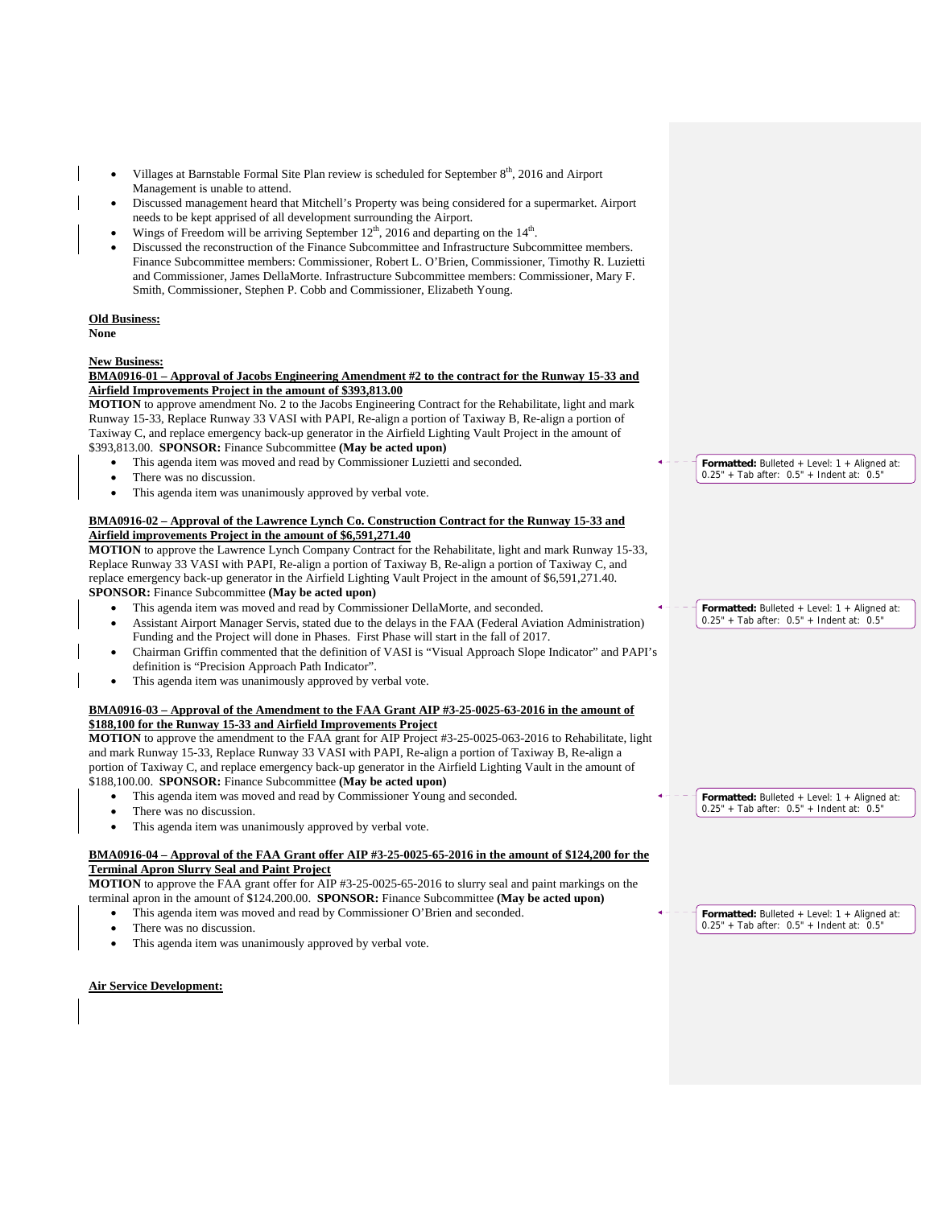- Villages at Barnstable Formal Site Plan review is scheduled for September 8<sup>th</sup>, 2016 and Airport Management is unable to attend.
- Discussed management heard that Mitchell's Property was being considered for a supermarket. Airport needs to be kept apprised of all development surrounding the Airport.
- Wings of Freedom will be arriving September  $12<sup>th</sup>$ , 2016 and departing on the  $14<sup>th</sup>$ .
- Discussed the reconstruction of the Finance Subcommittee and Infrastructure Subcommittee members. Finance Subcommittee members: Commissioner, Robert L. O'Brien, Commissioner, Timothy R. Luzietti and Commissioner, James DellaMorte. Infrastructure Subcommittee members: Commissioner, Mary F. Smith, Commissioner, Stephen P. Cobb and Commissioner, Elizabeth Young.

# **Old Business:**

**None** 

#### **New Business:**<br>**BMA0916-01** -Approval of Jacobs Engineering Amendment #2 to the contract for the Runway 15-33 and **Airfield Improvements Project in the amount of \$393,813.00**

**MOTION** to approve amendment No. 2 to the Jacobs Engineering Contract for the Rehabilitate, light and mark Runway 15-33, Replace Runway 33 VASI with PAPI, Re-align a portion of Taxiway B, Re-align a portion of Taxiway C, and replace emergency back-up generator in the Airfield Lighting Vault Project in the amount of \$393,813.00. **SPONSOR:** Finance Subcommittee **(May be acted upon)** 

- This agenda item was moved and read by Commissioner Luzietti and seconded.
- There was no discussion.
- This agenda item was unanimously approved by verbal vote.

## **BMA0916-02 – Approval of the Lawrence Lynch Co. Construction Contract for the Runway 15-33 and Airfield improvements Project in the amount of \$6,591,271.40**

**MOTION** to approve the Lawrence Lynch Company Contract for the Rehabilitate, light and mark Runway 15-33, Replace Runway 33 VASI with PAPI, Re-align a portion of Taxiway B, Re-align a portion of Taxiway C, and replace emergency back-up generator in the Airfield Lighting Vault Project in the amount of \$6,591,271.40. **SPONSOR:** Finance Subcommittee **(May be acted upon)** 

- This agenda item was moved and read by Commissioner DellaMorte, and seconded.
- Assistant Airport Manager Servis, stated due to the delays in the FAA (Federal Aviation Administration) Funding and the Project will done in Phases. First Phase will start in the fall of 2017.
- Chairman Griffin commented that the definition of VASI is "Visual Approach Slope Indicator" and PAPI's definition is "Precision Approach Path Indicator".
- This agenda item was unanimously approved by verbal vote.

## **BMA0916-03 – Approval of the Amendment to the FAA Grant AIP #3-25-0025-63-2016 in the amount of \$188,100 for the Runway 15-33 and Airfield Improvements Project**

**MOTION** to approve the amendment to the FAA grant for AIP Project #3-25-0025-063-2016 to Rehabilitate, light and mark Runway 15-33, Replace Runway 33 VASI with PAPI, Re-align a portion of Taxiway B, Re-align a portion of Taxiway C, and replace emergency back-up generator in the Airfield Lighting Vault in the amount of \$188,100.00. **SPONSOR:** Finance Subcommittee **(May be acted upon)**

- This agenda item was moved and read by Commissioner Young and seconded.
- There was no discussion.
- This agenda item was unanimously approved by verbal vote.

## **BMA0916-04 – Approval of the FAA Grant offer AIP #3-25-0025-65-2016 in the amount of \$124,200 for the Terminal Apron Slurry Seal and Paint Project**

**MOTION** to approve the FAA grant offer for AIP #3-25-0025-65-2016 to slurry seal and paint markings on the terminal apron in the amount of \$124.200.00. **SPONSOR:** Finance Subcommittee **(May be acted upon)**

- This agenda item was moved and read by Commissioner O'Brien and seconded.
- There was no discussion.
- This agenda item was unanimously approved by verbal vote.

**Air Service Development:** 

**Formatted:** Bulleted + Level: 1 + Aligned at:  $0.25" + Tab after: 0.5" + Indent at: 0.5"$ 

**Formatted:** Bulleted + Level: 1 + Aligned at: 0.25" + Tab after: 0.5" + Indent at: 0.5"

**Formatted:** Bulleted + Level: 1 + Aligned at: 0.25" + Tab after: 0.5" + Indent at: 0.5"

**Formatted:** Bulleted + Level: 1 + Aligned at: 0.25" + Tab after: 0.5" + Indent at: 0.5"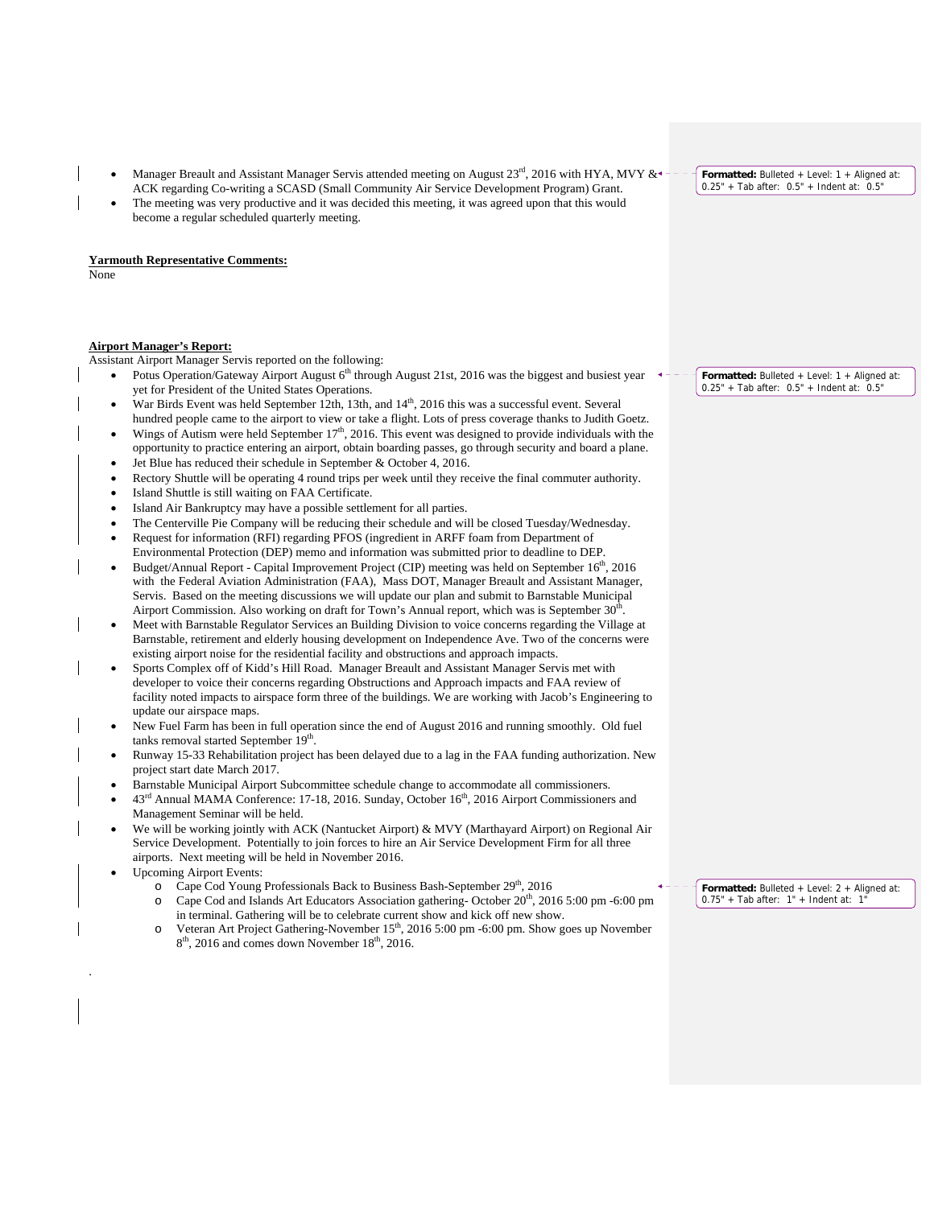- Manager Breault and Assistant Manager Servis attended meeting on August 23<sup>rd</sup>, 2016 with HYA, MVY & ACK regarding Co-writing a SCASD (Small Community Air Service Development Program) Grant.
- The meeting was very productive and it was decided this meeting, it was agreed upon that this would become a regular scheduled quarterly meeting.

## **Yarmouth Representative Comments:**

None

## **Airport Manager's Report:**

Assistant Airport Manager Servis reported on the following:

- Potus Operation/Gateway Airport August 6<sup>th</sup> through August 21st, 2016 was the biggest and busiest year yet for President of the United States Operations.
- War Birds Event was held September 12th, 13th, and 14<sup>th</sup>, 2016 this was a successful event. Several hundred people came to the airport to view or take a flight. Lots of press coverage thanks to Judith Goetz.
- Wings of Autism were held September 17<sup>th</sup>, 2016. This event was designed to provide individuals with the opportunity to practice entering an airport, obtain boarding passes, go through security and board a plane.
- Jet Blue has reduced their schedule in September & October 4, 2016.
- Rectory Shuttle will be operating 4 round trips per week until they receive the final commuter authority.
- Island Shuttle is still waiting on FAA Certificate.
- Island Air Bankruptcy may have a possible settlement for all parties.
- The Centerville Pie Company will be reducing their schedule and will be closed Tuesday/Wednesday. Request for information (RFI) regarding PFOS (ingredient in ARFF foam from Department of
- Environmental Protection (DEP) memo and information was submitted prior to deadline to DEP.
- Budget/Annual Report Capital Improvement Project (CIP) meeting was held on September 16<sup>th</sup>, 2016 with the Federal Aviation Administration (FAA), Mass DOT, Manager Breault and Assistant Manager, Servis. Based on the meeting discussions we will update our plan and submit to Barnstable Municipal Airport Commission. Also working on draft for Town's Annual report, which was is September  $30<sup>t</sup>$
- Meet with Barnstable Regulator Services an Building Division to voice concerns regarding the Village at Barnstable, retirement and elderly housing development on Independence Ave. Two of the concerns were existing airport noise for the residential facility and obstructions and approach impacts.
- Sports Complex off of Kidd's Hill Road. Manager Breault and Assistant Manager Servis met with developer to voice their concerns regarding Obstructions and Approach impacts and FAA review of facility noted impacts to airspace form three of the buildings. We are working with Jacob's Engineering to update our airspace maps.
- New Fuel Farm has been in full operation since the end of August 2016 and running smoothly. Old fuel tanks removal started September 19<sup>th</sup>.
- Runway 15-33 Rehabilitation project has been delayed due to a lag in the FAA funding authorization. New project start date March 2017.
- Barnstable Municipal Airport Subcommittee schedule change to accommodate all commissioners.
- 43rd Annual MAMA Conference: 17-18, 2016. Sunday, October 16th, 2016 Airport Commissioners and Management Seminar will be held.
- We will be working jointly with ACK (Nantucket Airport) & MVY (Marthayard Airport) on Regional Air Service Development. Potentially to join forces to hire an Air Service Development Firm for all three airports. Next meeting will be held in November 2016.
- Upcoming Airport Events:

.

- o Cape Cod Young Professionals Back to Business Bash-September 29<sup>th</sup>, 2016
- $\degree$  Cape Cod and Islands Art Educators Association gathering-October 20<sup>th</sup>, 2016 5:00 pm -6:00 pm in terminal. Gathering will be to celebrate current show and kick off new show.
- Veteran Art Project Gathering-November 15<sup>th</sup>, 2016 5:00 pm -6:00 pm. Show goes up November  $8<sup>th</sup>$ , 2016 and comes down November 18<sup>th</sup>, 2016.

**Formatted:** Bulleted + Level: 1 + Aligned at: 0.25" + Tab after: 0.5" + Indent at: 0.5"

**Formatted:** Bulleted + Level: 1 + Aligned at: 0.25" + Tab after: 0.5" + Indent at: 0.5"

**Formatted:** Bulleted + Level: 2 + Aligned at: 0.75" + Tab after: 1" + Indent at: 1"